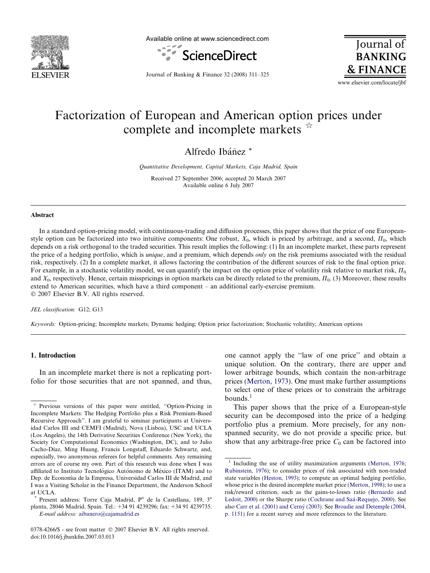

Available online at www.sciencedirect.com



Journal of **BANKING & FINANCE** 

Journal of Banking & Finance 32 (2008) 311–325

www.elsevier.com/locate/jbf

# Factorization of European and American option prices under complete and incomplete markets  $\vec{r}$

Alfredo Ibáñez<sup>\*</sup>

Quantitative Development, Capital Markets, Caja Madrid, Spain

Received 27 September 2006; accepted 20 March 2007 Available online 6 July 2007

#### Abstract

In a standard option-pricing model, with continuous-trading and diffusion processes, this paper shows that the price of one Europeanstyle option can be factorized into two intuitive components: One robust,  $X_0$ , which is priced by arbitrage, and a second,  $\Pi_0$ , which depends on a risk orthogonal to the traded securities. This result implies the following: (1) In an incomplete market, these parts represent the price of a hedging portfolio, which is *unique*, and a premium, which depends *only* on the risk premiums associated with the residual risk, respectively. (2) In a complete market, it allows factoring the contribution of the different sources of risk to the final option price. For example, in a stochastic volatility model, we can quantify the impact on the option price of volatility risk relative to market risk,  $\Pi_0$ and  $X_0$ , respectively. Hence, certain misspricings in option markets can be directly related to the premium,  $\Pi_0$ . (3) Moreover, these results extend to American securities, which have a third component – an additional early-exercise premium.  $© 2007 Elsevier B.V. All rights reserved.$ 

JEL classification: G12; G13

Keywords: Option-pricing; Incomplete markets; Dynamic hedging; Option price factorization; Stochastic volatility; American options

### 1. Introduction

In an incomplete market there is not a replicating portfolio for those securities that are not spanned, and thus, one cannot apply the ''law of one price'' and obtain a unique solution. On the contrary, there are upper and lower arbitrage bounds, which contain the non-arbitrage prices ([Merton, 1973\)](#page--1-0). One must make further assumptions to select one of these prices or to constrain the arbitrage bounds.<sup>1</sup>

This paper shows that the price of a European-style security can be decomposed into the price of a hedging portfolio plus a premium. More precisely, for any nonspanned security, we do not provide a specific price, but show that any arbitrage-free price  $C_0$  can be factored into

Previous versions of this paper were entitled, "Option-Pricing in Incomplete Markets: The Hedging Portfolio plus a Risk Premium-Based Recursive Approach''. I am grateful to seminar participants at Universidad Carlos III and CEMFI (Madrid), Nova (Lisboa), USC and UCLA (Los Angeles), the 14th Derivative Securities Conference (New York), the Society for Computational Economics (Washington, DC), and to Julio Cacho-Díaz, Ming Huang, Francis Longstaff, Eduardo Schwartz, and, especially, two anonymous referees for helpful comments. Any remaining errors are of course my own. Part of this research was done when I was affiliated to Instituto Tecnológico Autónomo de México (ITAM) and to Dep. de Economía de la Empresa, Universidad Carlos III de Madrid, and I was a Visiting Scholar in the Finance Department, the Anderson School at UCLA.

Present address: Torre Caja Madrid, P° de la Castellana, 189, 3<sup>a</sup> planta, 28046 Madrid, Spain. Tel.: +34 91 4239296; fax: +34 91 4239735.

E-mail address: [aibanero@cajamadrid.es](mailto:aibanero@cajamadrid.es)

<sup>0378-4266/\$ -</sup> see front matter © 2007 Elsevier B.V. All rights reserved. doi:10.1016/j.jbankfin.2007.03.013

 $1$  Including the use of utility maximization arguments [\(Merton, 1976;](#page--1-0) [Rubinstein, 1976\)](#page--1-0); to consider prices of risk associated with non-traded state variables ([Heston, 1993](#page--1-0)); to compute an optimal hedging portfolio, whose price is the desired incomplete market price [\(Merton, 1998](#page--1-0)); to use a risk/reward criterion, such as the gains-to-losses ratio [\(Bernardo and](#page--1-0) [Ledoit, 2000](#page--1-0)) or the Sharpe ratio (Cochrane and Saá-Requejo, 2000). See also Carr et al. (2001) and Cerný (2003). See [Broadie and Detemple \(2004,](#page--1-0) [p. 1151\)](#page--1-0) for a recent survey and more references to the literature.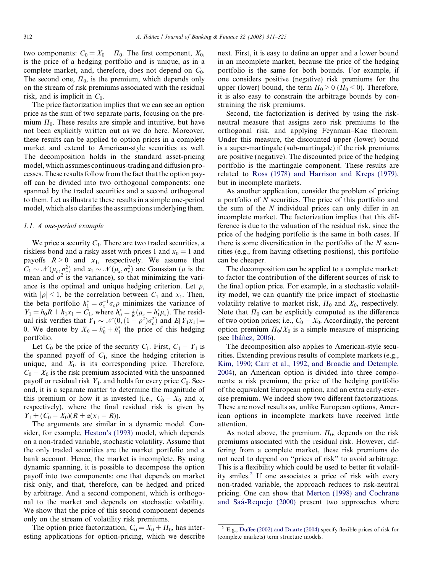two components:  $C_0 = X_0 + \Pi_0$ . The first component,  $X_0$ , is the price of a hedging portfolio and is unique, as in a complete market, and, therefore, does not depend on  $C_0$ . The second one,  $\Pi_0$ , is the premium, which depends only on the stream of risk premiums associated with the residual risk, and is implicit in  $C_0$ .

The price factorization implies that we can see an option price as the sum of two separate parts, focusing on the premium  $\Pi_0$ . These results are simple and intuitive, but have not been explicitly written out as we do here. Moreover, these results can be applied to option prices in a complete market and extend to American-style securities as well. The decomposition holds in the standard asset-pricing model, which assumes continuous-trading and diffusion processes. These results follow from the fact that the option payoff can be divided into two orthogonal components: one spanned by the traded securities and a second orthogonal to them. Let us illustrate these results in a simple one-period model, which also clarifies the assumptions underlying them.

### 1.1. A one-period example

We price a security  $C_1$ . There are two traded securities, a riskless bond and a risky asset with prices 1 and  $x_0 = 1$  and payoffs  $R > 0$  and  $x_1$ , respectively. We assume that  $C_1 \sim \mathcal{N}(\mu_c, \sigma_c^2)$  and  $x_1 \sim \mathcal{N}(\mu_x, \sigma_x^2)$  are Gaussian ( $\mu$  is the mean and  $\sigma^2$  is the variance), so that minimizing the variance is the optimal and unique hedging criterion. Let  $\rho$ , with  $|\rho|$  < 1, be the correlation between  $C_1$  and  $x_1$ . Then, the beta portfolio  $h_1^* = \sigma_x^{-1} \sigma_c \rho$  minimizes the variance of  $Y_1 = h_0 R + h_1 x_1 - C_1$ , where  $h_0^* = \frac{1}{R} (\mu_c - h_1^* \mu_x)$ . The residual risk verifies that  $Y_1 \sim \mathcal{N}(0, (1 - \rho^2)\sigma_c^2)$  and  $E[Y_1x_1] =$ 0. We denote by  $X_0 = h_0^* + h_1^*$  the price of this hedging portfolio.

Let  $C_0$  be the price of the security  $C_1$ . First,  $C_1 - Y_1$  is the spanned payoff of  $C_1$ , since the hedging criterion is unique, and  $X_0$  is its corresponding price. Therefore,  $C_0 - X_0$  is the risk premium associated with the unspanned payoff or residual risk  $Y_1$ , and holds for every price  $C_0$ . Second, it is a separate matter to determine the magnitude of this premium or how it is invested (i.e.,  $C_0 - X_0$  and  $\alpha$ , respectively), where the final residual risk is given by  $Y_1 + (C_0 - X_0)(R + \alpha(x_1 - R)).$ 

The arguments are similar in a dynamic model. Consider, for example, [Heston's \(1993\)](#page--1-0) model, which depends on a non-traded variable, stochastic volatility. Assume that the only traded securities are the market portfolio and a bank account. Hence, the market is incomplete. By using dynamic spanning, it is possible to decompose the option payoff into two components: one that depends on market risk only, and that, therefore, can be hedged and priced by arbitrage. And a second component, which is orthogonal to the market and depends on stochastic volatility. We show that the price of this second component depends only on the stream of volatility risk premiums.

The option price factorization,  $C_0 = X_0 + \Pi_0$ , has interesting applications for option-pricing, which we describe next. First, it is easy to define an upper and a lower bound in an incomplete market, because the price of the hedging portfolio is the same for both bounds. For example, if one considers positive (negative) risk premiums for the upper (lower) bound, the term  $\Pi_0 > 0$  ( $\Pi_0 < 0$ ). Therefore, it is also easy to constrain the arbitrage bounds by constraining the risk premiums.

Second, the factorization is derived by using the riskneutral measure that assigns zero risk premiums to the orthogonal risk, and applying Feynman–Kac theorem. Under this measure, the discounted upper (lower) bound is a super-martingale (sub-martingale) if the risk premiums are positive (negative). The discounted price of the hedging portfolio is the martingale component. These results are related to [Ross \(1978\) and Harrison and Kreps \(1979\)](#page--1-0), but in incomplete markets.

As another application, consider the problem of pricing a portfolio of N securities. The price of this portfolio and the sum of the N individual prices can only differ in an incomplete market. The factorization implies that this difference is due to the valuation of the residual risk, since the price of the hedging portfolio is the same in both cases. If there is some diversification in the portfolio of the  $N$  securities (e.g., from having offsetting positions), this portfolio can be cheaper.

The decomposition can be applied to a complete market: to factor the contribution of the different sources of risk to the final option price. For example, in a stochastic volatility model, we can quantify the price impact of stochastic volatility relative to market risk,  $\Pi_0$  and  $X_0$ , respectively. Note that  $\Pi_0$  can be explicitly computed as the difference of two option prices; i.e.,  $C_0 - X_0$ . Accordingly, the percent option premium  $\Pi_0/X_0$  is a simple measure of mispricing (see Ibáñez, 2006).

The decomposition also applies to American-style securities. Extending previous results of complete markets (e.g., [Kim, 1990; Carr et al., 1992, and Broadie and Detemple,](#page--1-0) [2004\)](#page--1-0), an American option is divided into three components: a risk premium, the price of the hedging portfolio of the equivalent European option, and an extra early-exercise premium. We indeed show two different factorizations. These are novel results as, unlike European options, American options in incomplete markets have received little attention.

As noted above, the premium,  $\Pi_0$ , depends on the risk premiums associated with the residual risk. However, differing from a complete market, these risk premiums do not need to depend on ''prices of risk'' to avoid arbitrage. This is a flexibility which could be used to better fit volatility smiles.<sup>2</sup> If one associates a price of risk with every non-traded variable, the approach reduces to risk-neutral pricing. One can show that [Merton \(1998\) and Cochrane](#page--1-0) [and Saa´-Requejo \(2000\)](#page--1-0) present two approaches where

 $^{2}$  E.g., [Duffee \(2002\) and Duarte \(2004\)](#page--1-0) specify flexible prices of risk for (complete markets) term structure models.